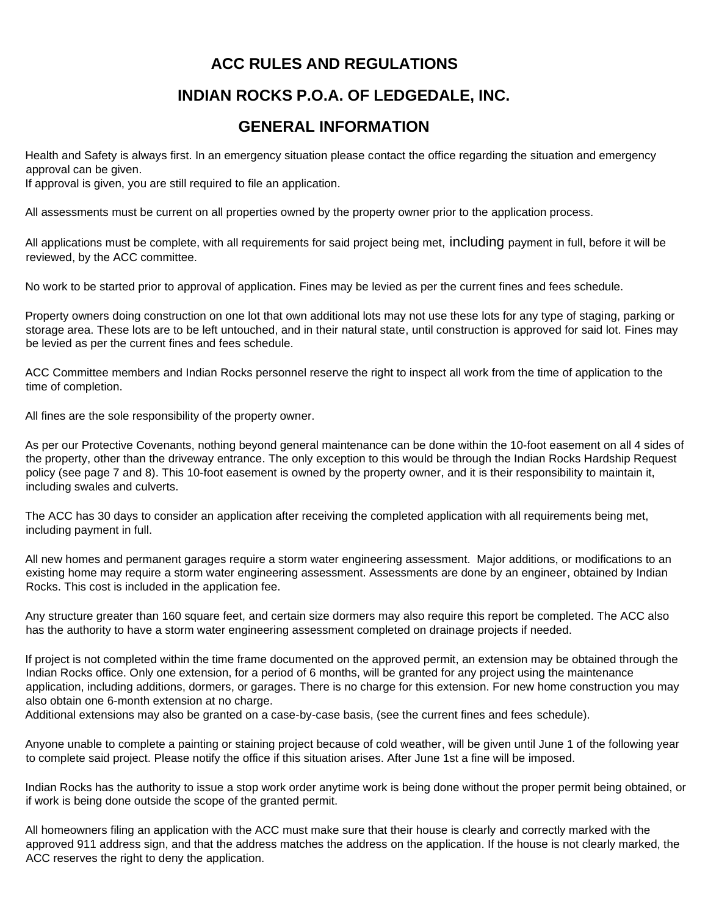### **ACC RULES AND REGULATIONS**

## **INDIAN ROCKS P.O.A. OF LEDGEDALE, INC.**

### **GENERAL INFORMATION**

Health and Safety is always first. In an emergency situation please contact the office regarding the situation and emergency approval can be given.

If approval is given, you are still required to file an application.

All assessments must be current on all properties owned by the property owner prior to the application process.

All applications must be complete, with all requirements for said project being met, including payment in full, before it will be reviewed, by the ACC committee.

No work to be started prior to approval of application. Fines may be levied as per the current fines and fees schedule.

Property owners doing construction on one lot that own additional lots may not use these lots for any type of staging, parking or storage area. These lots are to be left untouched, and in their natural state, until construction is approved for said lot. Fines may be levied as per the current fines and fees schedule.

ACC Committee members and Indian Rocks personnel reserve the right to inspect all work from the time of application to the time of completion.

All fines are the sole responsibility of the property owner.

As per our Protective Covenants, nothing beyond general maintenance can be done within the 10-foot easement on all 4 sides of the property, other than the driveway entrance. The only exception to this would be through the Indian Rocks Hardship Request policy (see page 7 and 8). This 10-foot easement is owned by the property owner, and it is their responsibility to maintain it, including swales and culverts.

The ACC has 30 days to consider an application after receiving the completed application with all requirements being met, including payment in full.

All new homes and permanent garages require a storm water engineering assessment. Major additions, or modifications to an existing home may require a storm water engineering assessment. Assessments are done by an engineer, obtained by Indian Rocks. This cost is included in the application fee.

Any structure greater than 160 square feet, and certain size dormers may also require this report be completed. The ACC also has the authority to have a storm water engineering assessment completed on drainage projects if needed.

If project is not completed within the time frame documented on the approved permit, an extension may be obtained through the Indian Rocks office. Only one extension, for a period of 6 months, will be granted for any project using the maintenance application, including additions, dormers, or garages. There is no charge for this extension. For new home construction you may also obtain one 6-month extension at no charge.

Additional extensions may also be granted on a case-by-case basis, (see the current fines and fees schedule).

Anyone unable to complete a painting or staining project because of cold weather, will be given until June 1 of the following year to complete said project. Please notify the office if this situation arises. After June 1st a fine will be imposed.

Indian Rocks has the authority to issue a stop work order anytime work is being done without the proper permit being obtained, or if work is being done outside the scope of the granted permit.

All homeowners filing an application with the ACC must make sure that their house is clearly and correctly marked with the approved 911 address sign, and that the address matches the address on the application. If the house is not clearly marked, the ACC reserves the right to deny the application.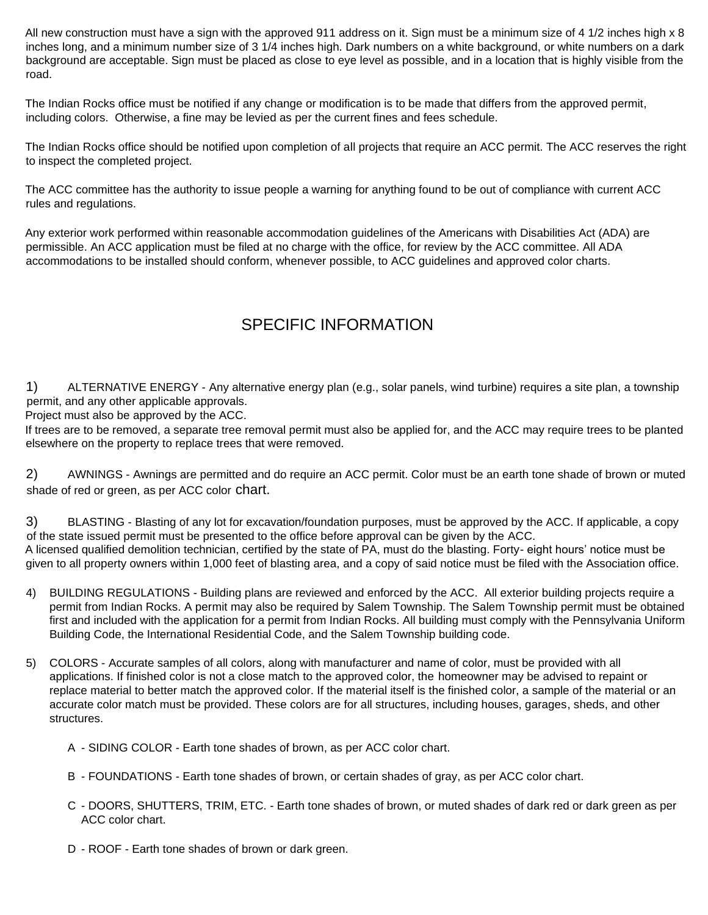All new construction must have a sign with the approved 911 address on it. Sign must be a minimum size of 4 1/2 inches high x 8 inches long, and a minimum number size of 3 1/4 inches high. Dark numbers on a white background, or white numbers on a dark background are acceptable. Sign must be placed as close to eye level as possible, and in a location that is highly visible from the road.

The Indian Rocks office must be notified if any change or modification is to be made that differs from the approved permit, including colors. Otherwise, a fine may be levied as per the current fines and fees schedule.

The Indian Rocks office should be notified upon completion of all projects that require an ACC permit. The ACC reserves the right to inspect the completed project.

The ACC committee has the authority to issue people a warning for anything found to be out of compliance with current ACC rules and regulations.

Any exterior work performed within reasonable accommodation guidelines of the Americans with Disabilities Act (ADA) are permissible. An ACC application must be filed at no charge with the office, for review by the ACC committee. All ADA accommodations to be installed should conform, whenever possible, to ACC guidelines and approved color charts.

## SPECIFIC INFORMATION

1) ALTERNATIVE ENERGY - Any alternative energy plan (e.g., solar panels, wind turbine) requires a site plan, a township permit, and any other applicable approvals.

Project must also be approved by the ACC.

If trees are to be removed, a separate tree removal permit must also be applied for, and the ACC may require trees to be planted elsewhere on the property to replace trees that were removed.

2) AWNINGS - Awnings are permitted and do require an ACC permit. Color must be an earth tone shade of brown or muted shade of red or green, as per ACC color chart.

3) BLASTING - Blasting of any lot for excavation/foundation purposes, must be approved by the ACC. If applicable, a copy of the state issued permit must be presented to the office before approval can be given by the ACC. A licensed qualified demolition technician, certified by the state of PA, must do the blasting. Forty- eight hours' notice must be given to all property owners within 1,000 feet of blasting area, and a copy of said notice must be filed with the Association office.

- 4) BUILDING REGULATIONS Building plans are reviewed and enforced by the ACC. All exterior building projects require a permit from Indian Rocks. A permit may also be required by Salem Township. The Salem Township permit must be obtained first and included with the application for a permit from Indian Rocks. All building must comply with the Pennsylvania Uniform Building Code, the International Residential Code, and the Salem Township building code.
- 5) COLORS Accurate samples of all colors, along with manufacturer and name of color, must be provided with all applications. If finished color is not a close match to the approved color, the homeowner may be advised to repaint or replace material to better match the approved color. If the material itself is the finished color, a sample of the material or an accurate color match must be provided. These colors are for all structures, including houses, garages, sheds, and other structures.
	- A SIDING COLOR Earth tone shades of brown, as per ACC color chart.
	- B FOUNDATIONS Earth tone shades of brown, or certain shades of gray, as per ACC color chart.
	- C DOORS, SHUTTERS, TRIM, ETC. Earth tone shades of brown, or muted shades of dark red or dark green as per ACC color chart.
	- D ROOF Earth tone shades of brown or dark green.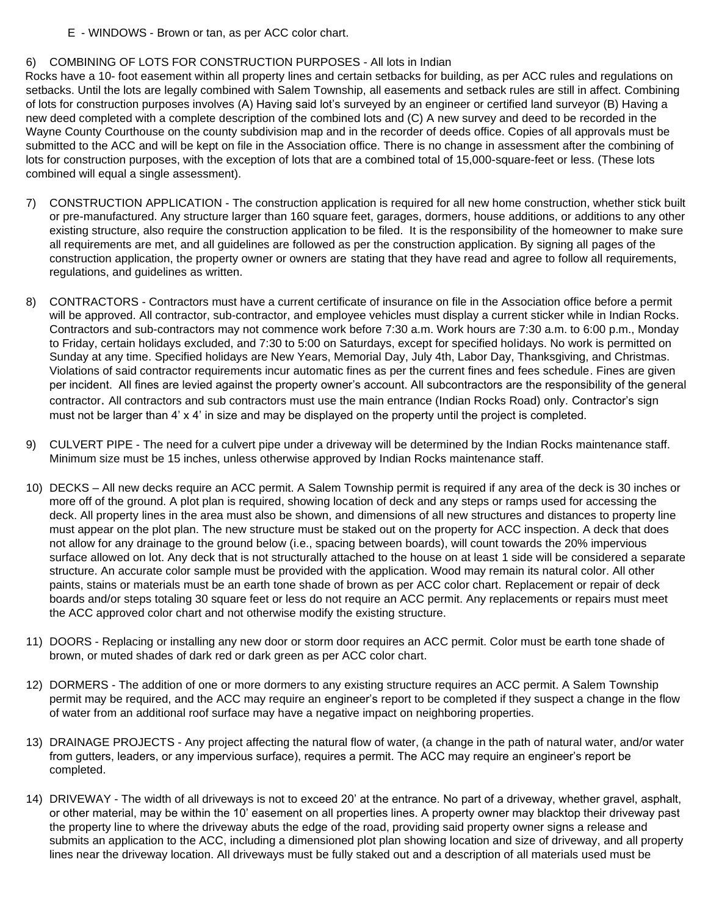E - WINDOWS - Brown or tan, as per ACC color chart.

#### 6) COMBINING OF LOTS FOR CONSTRUCTION PURPOSES - All lots in Indian

Rocks have a 10- foot easement within all property lines and certain setbacks for building, as per ACC rules and regulations on setbacks. Until the lots are legally combined with Salem Township, all easements and setback rules are still in affect. Combining of lots for construction purposes involves (A) Having said lot's surveyed by an engineer or certified land surveyor (B) Having a new deed completed with a complete description of the combined lots and (C) A new survey and deed to be recorded in the Wayne County Courthouse on the county subdivision map and in the recorder of deeds office. Copies of all approvals must be submitted to the ACC and will be kept on file in the Association office. There is no change in assessment after the combining of lots for construction purposes, with the exception of lots that are a combined total of 15,000-square-feet or less. (These lots combined will equal a single assessment).

- 7) CONSTRUCTION APPLICATION The construction application is required for all new home construction, whether stick built or pre-manufactured. Any structure larger than 160 square feet, garages, dormers, house additions, or additions to any other existing structure, also require the construction application to be filed. It is the responsibility of the homeowner to make sure all requirements are met, and all guidelines are followed as per the construction application. By signing all pages of the construction application, the property owner or owners are stating that they have read and agree to follow all requirements, regulations, and guidelines as written.
- 8) CONTRACTORS Contractors must have a current certificate of insurance on file in the Association office before a permit will be approved. All contractor, sub-contractor, and employee vehicles must display a current sticker while in Indian Rocks. Contractors and sub-contractors may not commence work before 7:30 a.m. Work hours are 7:30 a.m. to 6:00 p.m., Monday to Friday, certain holidays excluded, and 7:30 to 5:00 on Saturdays, except for specified holidays. No work is permitted on Sunday at any time. Specified holidays are New Years, Memorial Day, July 4th, Labor Day, Thanksgiving, and Christmas. Violations of said contractor requirements incur automatic fines as per the current fines and fees schedule. Fines are given per incident. All fines are levied against the property owner's account. All subcontractors are the responsibility of the general contractor. All contractors and sub contractors must use the main entrance (Indian Rocks Road) only. Contractor's sign must not be larger than 4' x 4' in size and may be displayed on the property until the project is completed.
- 9) CULVERT PIPE The need for a culvert pipe under a driveway will be determined by the Indian Rocks maintenance staff. Minimum size must be 15 inches, unless otherwise approved by Indian Rocks maintenance staff.
- 10) DECKS All new decks require an ACC permit. A Salem Township permit is required if any area of the deck is 30 inches or more off of the ground. A plot plan is required, showing location of deck and any steps or ramps used for accessing the deck. All property lines in the area must also be shown, and dimensions of all new structures and distances to property line must appear on the plot plan. The new structure must be staked out on the property for ACC inspection. A deck that does not allow for any drainage to the ground below (i.e., spacing between boards), will count towards the 20% impervious surface allowed on lot. Any deck that is not structurally attached to the house on at least 1 side will be considered a separate structure. An accurate color sample must be provided with the application. Wood may remain its natural color. All other paints, stains or materials must be an earth tone shade of brown as per ACC color chart. Replacement or repair of deck boards and/or steps totaling 30 square feet or less do not require an ACC permit. Any replacements or repairs must meet the ACC approved color chart and not otherwise modify the existing structure.
- 11) DOORS Replacing or installing any new door or storm door requires an ACC permit. Color must be earth tone shade of brown, or muted shades of dark red or dark green as per ACC color chart.
- 12) DORMERS The addition of one or more dormers to any existing structure requires an ACC permit. A Salem Township permit may be required, and the ACC may require an engineer's report to be completed if they suspect a change in the flow of water from an additional roof surface may have a negative impact on neighboring properties.
- 13) DRAINAGE PROJECTS Any project affecting the natural flow of water, (a change in the path of natural water, and/or water from gutters, leaders, or any impervious surface), requires a permit. The ACC may require an engineer's report be completed.
- 14) DRIVEWAY The width of all driveways is not to exceed 20' at the entrance. No part of a driveway, whether gravel, asphalt, or other material, may be within the 10' easement on all properties lines. A property owner may blacktop their driveway past the property line to where the driveway abuts the edge of the road, providing said property owner signs a release and submits an application to the ACC, including a dimensioned plot plan showing location and size of driveway, and all property lines near the driveway location. All driveways must be fully staked out and a description of all materials used must be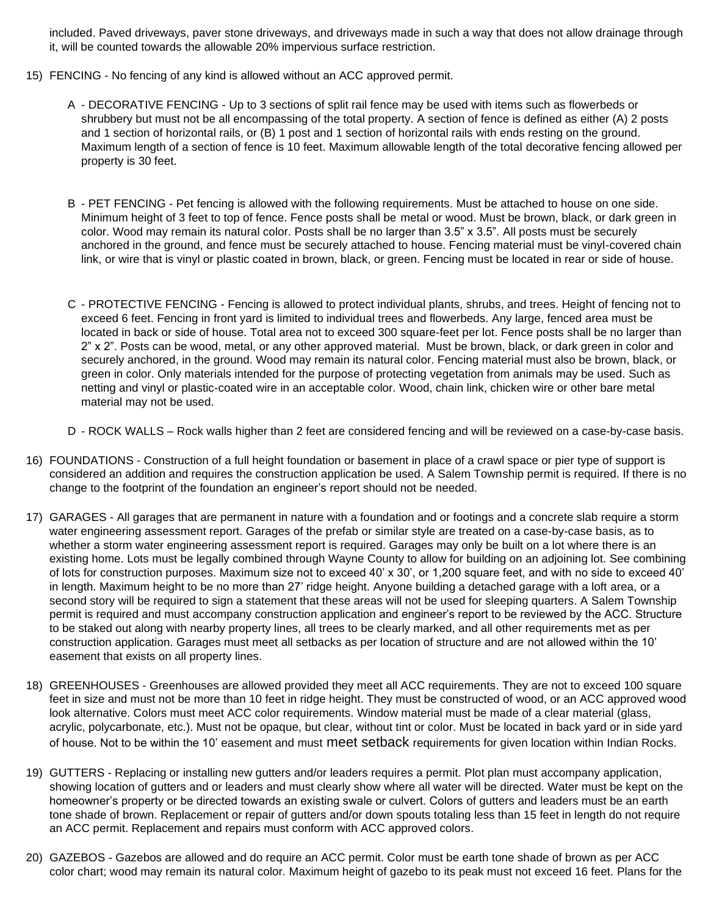included. Paved driveways, paver stone driveways, and driveways made in such a way that does not allow drainage through it, will be counted towards the allowable 20% impervious surface restriction.

- 15) FENCING No fencing of any kind is allowed without an ACC approved permit.
	- A DECORATIVE FENCING Up to 3 sections of split rail fence may be used with items such as flowerbeds or shrubbery but must not be all encompassing of the total property. A section of fence is defined as either (A) 2 posts and 1 section of horizontal rails, or (B) 1 post and 1 section of horizontal rails with ends resting on the ground. Maximum length of a section of fence is 10 feet. Maximum allowable length of the total decorative fencing allowed per property is 30 feet.
	- B PET FENCING Pet fencing is allowed with the following requirements. Must be attached to house on one side. Minimum height of 3 feet to top of fence. Fence posts shall be metal or wood. Must be brown, black, or dark green in color. Wood may remain its natural color. Posts shall be no larger than 3.5" x 3.5". All posts must be securely anchored in the ground, and fence must be securely attached to house. Fencing material must be vinyl-covered chain link, or wire that is vinyl or plastic coated in brown, black, or green. Fencing must be located in rear or side of house.
	- C PROTECTIVE FENCING Fencing is allowed to protect individual plants, shrubs, and trees. Height of fencing not to exceed 6 feet. Fencing in front yard is limited to individual trees and flowerbeds. Any large, fenced area must be located in back or side of house. Total area not to exceed 300 square-feet per lot. Fence posts shall be no larger than 2" x 2". Posts can be wood, metal, or any other approved material. Must be brown, black, or dark green in color and securely anchored, in the ground. Wood may remain its natural color. Fencing material must also be brown, black, or green in color. Only materials intended for the purpose of protecting vegetation from animals may be used. Such as netting and vinyl or plastic-coated wire in an acceptable color. Wood, chain link, chicken wire or other bare metal material may not be used.
	- D ROCK WALLS Rock walls higher than 2 feet are considered fencing and will be reviewed on a case-by-case basis.
- 16) FOUNDATIONS Construction of a full height foundation or basement in place of a crawl space or pier type of support is considered an addition and requires the construction application be used. A Salem Township permit is required. If there is no change to the footprint of the foundation an engineer's report should not be needed.
- 17) GARAGES All garages that are permanent in nature with a foundation and or footings and a concrete slab require a storm water engineering assessment report. Garages of the prefab or similar style are treated on a case-by-case basis, as to whether a storm water engineering assessment report is required. Garages may only be built on a lot where there is an existing home. Lots must be legally combined through Wayne County to allow for building on an adjoining lot. See combining of lots for construction purposes. Maximum size not to exceed 40' x 30', or 1,200 square feet, and with no side to exceed 40' in length. Maximum height to be no more than 27' ridge height. Anyone building a detached garage with a loft area, or a second story will be required to sign a statement that these areas will not be used for sleeping quarters. A Salem Township permit is required and must accompany construction application and engineer's report to be reviewed by the ACC. Structure to be staked out along with nearby property lines, all trees to be clearly marked, and all other requirements met as per construction application. Garages must meet all setbacks as per location of structure and are not allowed within the 10' easement that exists on all property lines.
- 18) GREENHOUSES Greenhouses are allowed provided they meet all ACC requirements. They are not to exceed 100 square feet in size and must not be more than 10 feet in ridge height. They must be constructed of wood, or an ACC approved wood look alternative. Colors must meet ACC color requirements. Window material must be made of a clear material (glass, acrylic, polycarbonate, etc.). Must not be opaque, but clear, without tint or color. Must be located in back yard or in side yard of house. Not to be within the 10' easement and must meet setback requirements for given location within Indian Rocks.
- 19) GUTTERS Replacing or installing new gutters and/or leaders requires a permit. Plot plan must accompany application, showing location of gutters and or leaders and must clearly show where all water will be directed. Water must be kept on the homeowner's property or be directed towards an existing swale or culvert. Colors of gutters and leaders must be an earth tone shade of brown. Replacement or repair of gutters and/or down spouts totaling less than 15 feet in length do not require an ACC permit. Replacement and repairs must conform with ACC approved colors.
- 20) GAZEBOS Gazebos are allowed and do require an ACC permit. Color must be earth tone shade of brown as per ACC color chart; wood may remain its natural color. Maximum height of gazebo to its peak must not exceed 16 feet. Plans for the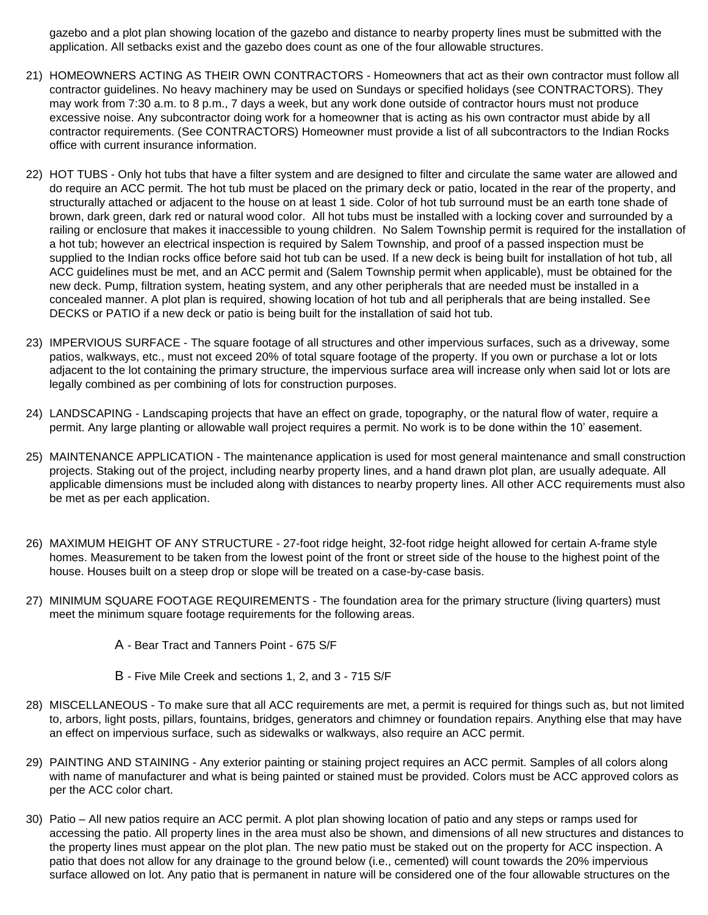gazebo and a plot plan showing location of the gazebo and distance to nearby property lines must be submitted with the application. All setbacks exist and the gazebo does count as one of the four allowable structures.

- 21) HOMEOWNERS ACTING AS THEIR OWN CONTRACTORS Homeowners that act as their own contractor must follow all contractor guidelines. No heavy machinery may be used on Sundays or specified holidays (see CONTRACTORS). They may work from 7:30 a.m. to 8 p.m., 7 days a week, but any work done outside of contractor hours must not produce excessive noise. Any subcontractor doing work for a homeowner that is acting as his own contractor must abide by all contractor requirements. (See CONTRACTORS) Homeowner must provide a list of all subcontractors to the Indian Rocks office with current insurance information.
- 22) HOT TUBS Only hot tubs that have a filter system and are designed to filter and circulate the same water are allowed and do require an ACC permit. The hot tub must be placed on the primary deck or patio, located in the rear of the property, and structurally attached or adjacent to the house on at least 1 side. Color of hot tub surround must be an earth tone shade of brown, dark green, dark red or natural wood color. All hot tubs must be installed with a locking cover and surrounded by a railing or enclosure that makes it inaccessible to young children. No Salem Township permit is required for the installation of a hot tub; however an electrical inspection is required by Salem Township, and proof of a passed inspection must be supplied to the Indian rocks office before said hot tub can be used. If a new deck is being built for installation of hot tub, all ACC guidelines must be met, and an ACC permit and (Salem Township permit when applicable), must be obtained for the new deck. Pump, filtration system, heating system, and any other peripherals that are needed must be installed in a concealed manner. A plot plan is required, showing location of hot tub and all peripherals that are being installed. See DECKS or PATIO if a new deck or patio is being built for the installation of said hot tub.
- 23) IMPERVIOUS SURFACE The square footage of all structures and other impervious surfaces, such as a driveway, some patios, walkways, etc., must not exceed 20% of total square footage of the property. If you own or purchase a lot or lots adjacent to the lot containing the primary structure, the impervious surface area will increase only when said lot or lots are legally combined as per combining of lots for construction purposes.
- 24) LANDSCAPING Landscaping projects that have an effect on grade, topography, or the natural flow of water, require a permit. Any large planting or allowable wall project requires a permit. No work is to be done within the 10' easement.
- 25) MAINTENANCE APPLICATION The maintenance application is used for most general maintenance and small construction projects. Staking out of the project, including nearby property lines, and a hand drawn plot plan, are usually adequate. All applicable dimensions must be included along with distances to nearby property lines. All other ACC requirements must also be met as per each application.
- 26) MAXIMUM HEIGHT OF ANY STRUCTURE 27-foot ridge height, 32-foot ridge height allowed for certain A-frame style homes. Measurement to be taken from the lowest point of the front or street side of the house to the highest point of the house. Houses built on a steep drop or slope will be treated on a case-by-case basis.
- 27) MINIMUM SQUARE FOOTAGE REQUIREMENTS The foundation area for the primary structure (living quarters) must meet the minimum square footage requirements for the following areas.
	- A Bear Tract and Tanners Point 675 S/F
	- B Five Mile Creek and sections 1, 2, and 3 715 S/F
- 28) MISCELLANEOUS To make sure that all ACC requirements are met, a permit is required for things such as, but not limited to, arbors, light posts, pillars, fountains, bridges, generators and chimney or foundation repairs. Anything else that may have an effect on impervious surface, such as sidewalks or walkways, also require an ACC permit.
- 29) PAINTING AND STAINING Any exterior painting or staining project requires an ACC permit. Samples of all colors along with name of manufacturer and what is being painted or stained must be provided. Colors must be ACC approved colors as per the ACC color chart.
- 30) Patio All new patios require an ACC permit. A plot plan showing location of patio and any steps or ramps used for accessing the patio. All property lines in the area must also be shown, and dimensions of all new structures and distances to the property lines must appear on the plot plan. The new patio must be staked out on the property for ACC inspection. A patio that does not allow for any drainage to the ground below (i.e., cemented) will count towards the 20% impervious surface allowed on lot. Any patio that is permanent in nature will be considered one of the four allowable structures on the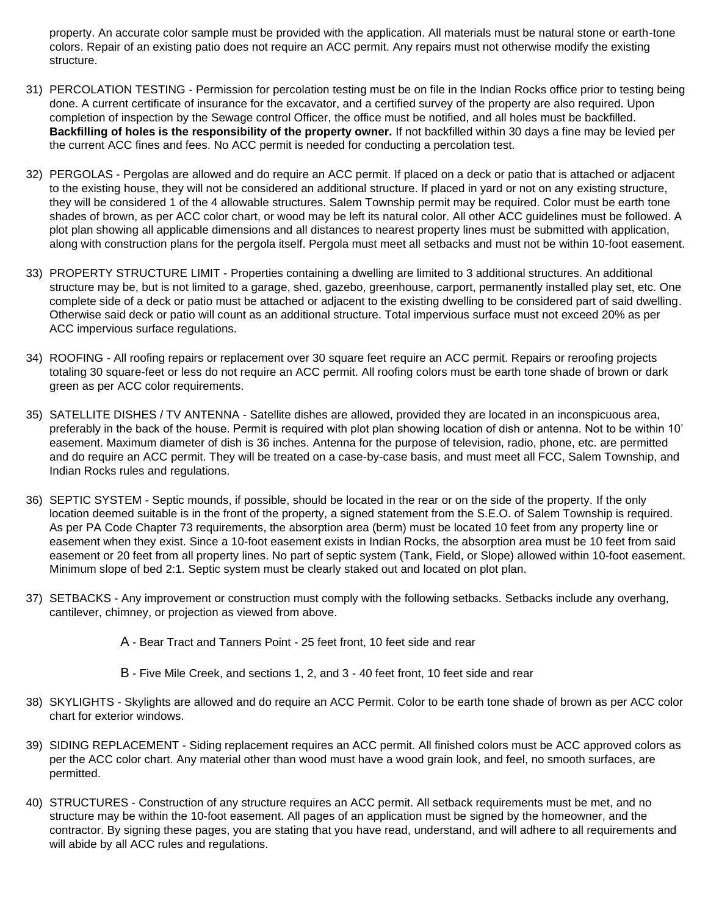property. An accurate color sample must be provided with the application. All materials must be natural stone or earth-tone colors. Repair of an existing patio does not require an ACC permit. Any repairs must not otherwise modify the existing structure.

- 31) PERCOLATION TESTING Permission for percolation testing must be on file in the Indian Rocks office prior to testing being done. A current certificate of insurance for the excavator, and a certified survey of the property are also required. Upon completion of inspection by the Sewage control Officer, the office must be notified, and all holes must be backfilled. **Backfilling of holes is the responsibility of the property owner.** If not backfilled within 30 days a fine may be levied per the current ACC fines and fees. No ACC permit is needed for conducting a percolation test.
- 32) PERGOLAS Pergolas are allowed and do require an ACC permit. If placed on a deck or patio that is attached or adjacent to the existing house, they will not be considered an additional structure. If placed in yard or not on any existing structure, they will be considered 1 of the 4 allowable structures. Salem Township permit may be required. Color must be earth tone shades of brown, as per ACC color chart, or wood may be left its natural color. All other ACC guidelines must be followed. A plot plan showing all applicable dimensions and all distances to nearest property lines must be submitted with application, along with construction plans for the pergola itself. Pergola must meet all setbacks and must not be within 10-foot easement.
- 33) PROPERTY STRUCTURE LIMIT Properties containing a dwelling are limited to 3 additional structures. An additional structure may be, but is not limited to a garage, shed, gazebo, greenhouse, carport, permanently installed play set, etc. One complete side of a deck or patio must be attached or adjacent to the existing dwelling to be considered part of said dwelling. Otherwise said deck or patio will count as an additional structure. Total impervious surface must not exceed 20% as per ACC impervious surface regulations.
- 34) ROOFING All roofing repairs or replacement over 30 square feet require an ACC permit. Repairs or reroofing projects totaling 30 square-feet or less do not require an ACC permit. All roofing colors must be earth tone shade of brown or dark green as per ACC color requirements.
- 35) SATELLITE DISHES / TV ANTENNA Satellite dishes are allowed, provided they are located in an inconspicuous area, preferably in the back of the house. Permit is required with plot plan showing location of dish or antenna. Not to be within 10' easement. Maximum diameter of dish is 36 inches. Antenna for the purpose of television, radio, phone, etc. are permitted and do require an ACC permit. They will be treated on a case-by-case basis, and must meet all FCC, Salem Township, and Indian Rocks rules and regulations.
- 36) SEPTIC SYSTEM Septic mounds, if possible, should be located in the rear or on the side of the property. If the only location deemed suitable is in the front of the property, a signed statement from the S.E.O. of Salem Township is required. As per PA Code Chapter 73 requirements, the absorption area (berm) must be located 10 feet from any property line or easement when they exist. Since a 10-foot easement exists in Indian Rocks, the absorption area must be 10 feet from said easement or 20 feet from all property lines. No part of septic system (Tank, Field, or Slope) allowed within 10-foot easement. Minimum slope of bed 2:1. Septic system must be clearly staked out and located on plot plan.
- 37) SETBACKS Any improvement or construction must comply with the following setbacks. Setbacks include any overhang, cantilever, chimney, or projection as viewed from above.
	- A Bear Tract and Tanners Point 25 feet front, 10 feet side and rear
	- B Five Mile Creek, and sections 1, 2, and 3 40 feet front, 10 feet side and rear
- 38) SKYLIGHTS Skylights are allowed and do require an ACC Permit. Color to be earth tone shade of brown as per ACC color chart for exterior windows.
- 39) SIDING REPLACEMENT Siding replacement requires an ACC permit. All finished colors must be ACC approved colors as per the ACC color chart. Any material other than wood must have a wood grain look, and feel, no smooth surfaces, are permitted.
- 40) STRUCTURES Construction of any structure requires an ACC permit. All setback requirements must be met, and no structure may be within the 10-foot easement. All pages of an application must be signed by the homeowner, and the contractor. By signing these pages, you are stating that you have read, understand, and will adhere to all requirements and will abide by all ACC rules and regulations.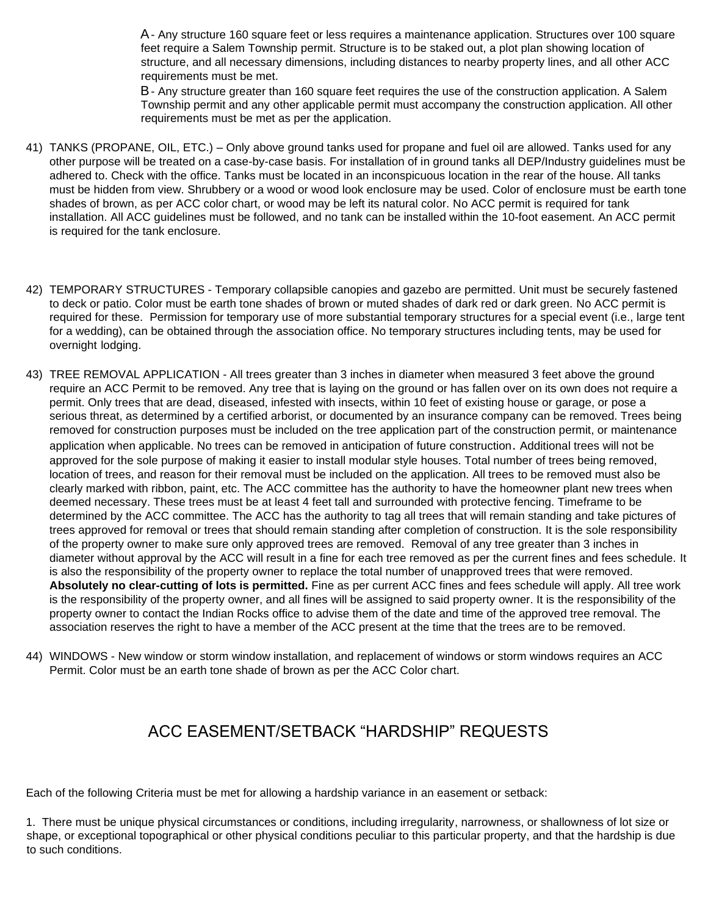A- Any structure 160 square feet or less requires a maintenance application. Structures over 100 square feet require a Salem Township permit. Structure is to be staked out, a plot plan showing location of structure, and all necessary dimensions, including distances to nearby property lines, and all other ACC requirements must be met.

B- Any structure greater than 160 square feet requires the use of the construction application. A Salem Township permit and any other applicable permit must accompany the construction application. All other requirements must be met as per the application.

- 41) TANKS (PROPANE, OIL, ETC.) Only above ground tanks used for propane and fuel oil are allowed. Tanks used for any other purpose will be treated on a case-by-case basis. For installation of in ground tanks all DEP/Industry guidelines must be adhered to. Check with the office. Tanks must be located in an inconspicuous location in the rear of the house. All tanks must be hidden from view. Shrubbery or a wood or wood look enclosure may be used. Color of enclosure must be earth tone shades of brown, as per ACC color chart, or wood may be left its natural color. No ACC permit is required for tank installation. All ACC guidelines must be followed, and no tank can be installed within the 10-foot easement. An ACC permit is required for the tank enclosure.
- 42) TEMPORARY STRUCTURES Temporary collapsible canopies and gazebo are permitted. Unit must be securely fastened to deck or patio. Color must be earth tone shades of brown or muted shades of dark red or dark green. No ACC permit is required for these. Permission for temporary use of more substantial temporary structures for a special event (i.e., large tent for a wedding), can be obtained through the association office. No temporary structures including tents, may be used for overnight lodging.
- 43) TREE REMOVAL APPLICATION All trees greater than 3 inches in diameter when measured 3 feet above the ground require an ACC Permit to be removed. Any tree that is laying on the ground or has fallen over on its own does not require a permit. Only trees that are dead, diseased, infested with insects, within 10 feet of existing house or garage, or pose a serious threat, as determined by a certified arborist, or documented by an insurance company can be removed. Trees being removed for construction purposes must be included on the tree application part of the construction permit, or maintenance application when applicable. No trees can be removed in anticipation of future construction. Additional trees will not be approved for the sole purpose of making it easier to install modular style houses. Total number of trees being removed, location of trees, and reason for their removal must be included on the application. All trees to be removed must also be clearly marked with ribbon, paint, etc. The ACC committee has the authority to have the homeowner plant new trees when deemed necessary. These trees must be at least 4 feet tall and surrounded with protective fencing. Timeframe to be determined by the ACC committee. The ACC has the authority to tag all trees that will remain standing and take pictures of trees approved for removal or trees that should remain standing after completion of construction. It is the sole responsibility of the property owner to make sure only approved trees are removed. Removal of any tree greater than 3 inches in diameter without approval by the ACC will result in a fine for each tree removed as per the current fines and fees schedule. It is also the responsibility of the property owner to replace the total number of unapproved trees that were removed. **Absolutely no clear-cutting of lots is permitted.** Fine as per current ACC fines and fees schedule will apply. All tree work is the responsibility of the property owner, and all fines will be assigned to said property owner. It is the responsibility of the property owner to contact the Indian Rocks office to advise them of the date and time of the approved tree removal. The association reserves the right to have a member of the ACC present at the time that the trees are to be removed.
- 44) WINDOWS New window or storm window installation, and replacement of windows or storm windows requires an ACC Permit. Color must be an earth tone shade of brown as per the ACC Color chart.

# ACC EASEMENT/SETBACK "HARDSHIP" REQUESTS

Each of the following Criteria must be met for allowing a hardship variance in an easement or setback:

1. There must be unique physical circumstances or conditions, including irregularity, narrowness, or shallowness of lot size or shape, or exceptional topographical or other physical conditions peculiar to this particular property, and that the hardship is due to such conditions.